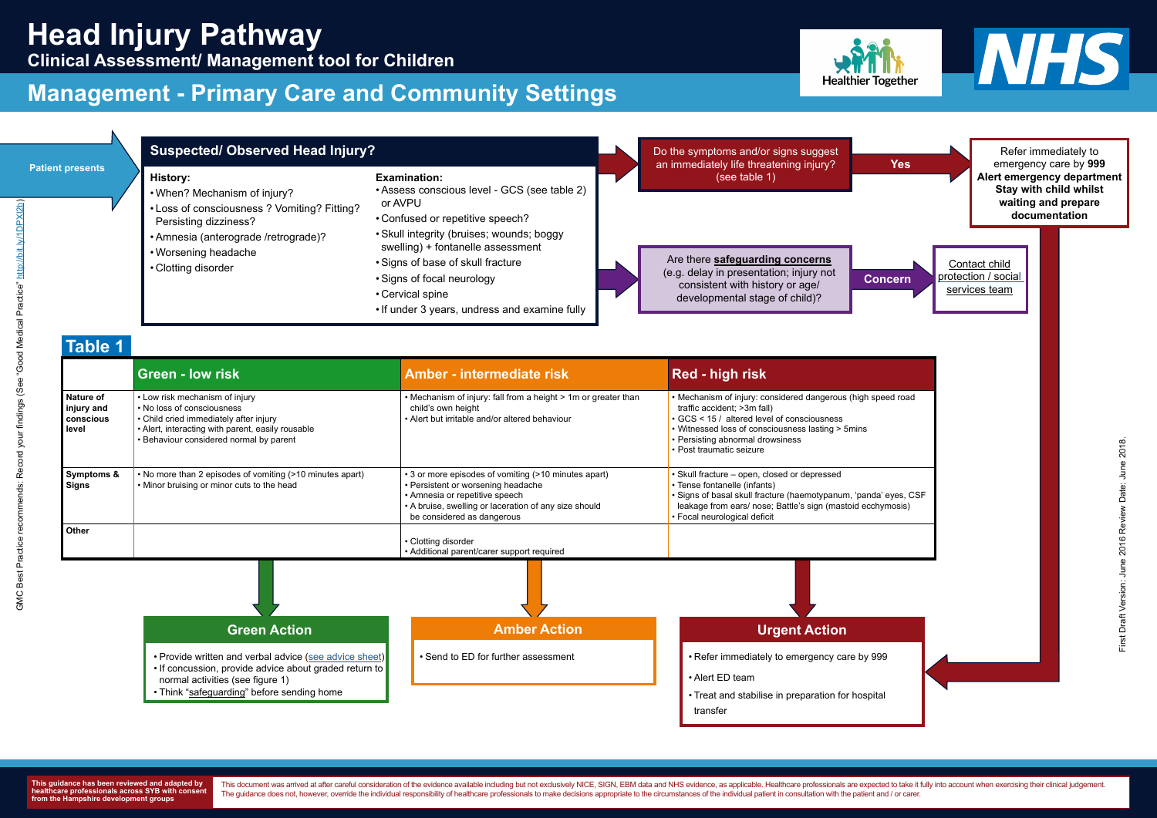|                                               | <b>Green - low risk</b>                                                                                                                                                                                | Amber - intermediate risk                                                                                                                                                                                           | <b>Red - high risk</b>                                                                                                                                                                                                                             |
|-----------------------------------------------|--------------------------------------------------------------------------------------------------------------------------------------------------------------------------------------------------------|---------------------------------------------------------------------------------------------------------------------------------------------------------------------------------------------------------------------|----------------------------------------------------------------------------------------------------------------------------------------------------------------------------------------------------------------------------------------------------|
| Nature of<br>injury and<br>conscious<br>level | • Low risk mechanism of injury<br>• No loss of consciousness<br>• Child cried immediately after injury<br>• Alert, interacting with parent, easily rousable<br>• Behaviour considered normal by parent | • Mechanism of injury: fall from a height > 1m or greater than<br>child's own height<br>• Alert but irritable and/or altered behaviour                                                                              | • Mechanism of injury: considered dangerous (high<br>traffic accident; >3m fall)<br>GCS < 15 / altered level of consciousness<br>• Witnessed loss of consciousness lasting > 5mins<br>• Persisting abnormal drowsiness<br>• Post traumatic seizure |
| Symptoms &<br>Signs                           | • No more than 2 episodes of vomiting (>10 minutes apart)<br>• Minor bruising or minor cuts to the head                                                                                                | • 3 or more episodes of vomiting (>10 minutes apart)<br>• Persistent or worsening headache<br>• Amnesia or repetitive speech<br>• A bruise, swelling or laceration of any size should<br>be considered as dangerous | • Skull fracture – open, closed or depressed<br>• Tense fontanelle (infants)<br>· Signs of basal skull fracture (haemotypanum, 'pan<br>leakage from ears/ nose; Battle's sign (mastoid ec<br>• Focal neurological deficit                          |
| <b>Other</b>                                  |                                                                                                                                                                                                        | • Clotting disorder<br>• Additional parent/carer support required                                                                                                                                                   |                                                                                                                                                                                                                                                    |





# **Clinical Assessment/ Management tool for Children**

### **Management - Primary Care and Community Settings**



**This guidance has been reviewed and adapted by healthcare professionals across SYB with consent from the Hampshire development groups**

This document was arrived at after careful consideration of the evidence available including but not exclusively NICE, SIGN, EBM data and NHS evidence, as applicable. Healthcare professionals are expected to take it fully The guidance does not, however, override the individual responsibility of healthcare professionals to make decisions appropriate to the circumstances of the individual patient in consultation with the patient and / or care



|                                               |                                                                                                                                                                                                                                                            | <b>Management - Primary Care and Community Settings</b>                                                                                                                                                                                                                                                                                      |                                                                                                                                                                                                                                                                       |
|-----------------------------------------------|------------------------------------------------------------------------------------------------------------------------------------------------------------------------------------------------------------------------------------------------------------|----------------------------------------------------------------------------------------------------------------------------------------------------------------------------------------------------------------------------------------------------------------------------------------------------------------------------------------------|-----------------------------------------------------------------------------------------------------------------------------------------------------------------------------------------------------------------------------------------------------------------------|
| <b>Patient presents</b>                       | <b>Suspected/ Observed Head Injury?</b><br><b>History:</b><br>. When? Mechanism of injury?<br>• Loss of consciousness ? Vomiting? Fitting?<br>Persisting dizziness?<br>• Amnesia (anterograde /retrograde)?<br>• Worsening headache<br>• Clotting disorder | <b>Examination:</b><br>• Assess conscious level - GCS (see table 2)<br>or AVPU<br>• Confused or repetitive speech?<br>• Skull integrity (bruises; wounds; boggy<br>swelling) + fontanelle assessment<br>• Signs of base of skull fracture<br>• Signs of focal neurology<br>• Cervical spine<br>. If under 3 years, undress and examine fully | Do the symptoms and/or signs suggest<br>an immediately life threatening injury?<br>(see table 1)<br>Are there safeguarding concerns<br>(e.g. delay in presentation; injury not<br><b>Concern</b><br>consistent with history or age/<br>developmental stage of child)? |
| <b>Table 1</b>                                | <b>Green - low risk</b>                                                                                                                                                                                                                                    | <b>Amber - intermediate risk</b>                                                                                                                                                                                                                                                                                                             | <b>Red - high risk</b>                                                                                                                                                                                                                                                |
|                                               | • Low risk mechanism of injury<br>• No loss of consciousness                                                                                                                                                                                               | • Mechanism of injury: fall from a height > 1m or greater than<br>child's own height<br>• Alert but irritable and/or altered behaviour                                                                                                                                                                                                       | • Mechanism of injury: considered dangerous (high speed roa<br>traffic accident; >3m fall)<br>GCS < 15 / altered level of consciousness<br>• Witnessed loss of consciousness lasting > 5mins                                                                          |
| Nature of<br>injury and<br>conscious<br>level | • Child cried immediately after injury<br>• Alert, interacting with parent, easily rousable<br>· Behaviour considered normal by parent                                                                                                                     |                                                                                                                                                                                                                                                                                                                                              | • Persisting abnormal drowsiness<br>• Post traumatic seizure                                                                                                                                                                                                          |
| <b>Symptoms &amp;</b><br><b>Signs</b>         | . No more than 2 episodes of vomiting (>10 minutes apart)<br>• Minor bruising or minor cuts to the head                                                                                                                                                    | • 3 or more episodes of vomiting (>10 minutes apart)<br>• Persistent or worsening headache<br>• Amnesia or repetitive speech<br>• A bruise, swelling or laceration of any size should<br>be considered as dangerous                                                                                                                          | · Skull fracture - open, closed or depressed<br>• Tense fontanelle (infants)<br>· Signs of basal skull fracture (haemotypanum, 'panda' eyes,<br>leakage from ears/ nose; Battle's sign (mastoid ecchymosis)<br>· Focal neurological deficit                           |